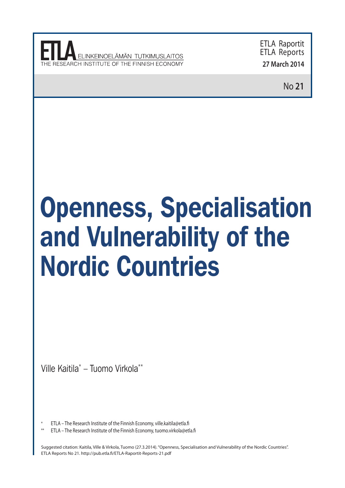**INKEINOEI ÄMÄN TUTKIMUSI AITOS** 

ETLA Raportit ETLA Reports **27 March 2014**

No **21**

# Openness, Specialisation and Vulnerability of the Nordic Countries

Ville Kaitila\* – Tuomo Virkola\*\*

ETLA – The Research Institute of the Finnish Economy, ville.kaitila@etla.fi

ETLA – The Research Institute of the Finnish Economy, tuomo.virkola@etla.fi

Suggested citation: Kaitila, Ville & Virkola, Tuomo (27.3.2014). "Openness, Specialisation and Vulnerability of the Nordic Countries". ETLA Reports No 21. http://pub.etla.fi/ETLA-Raportit-Reports-21.pdf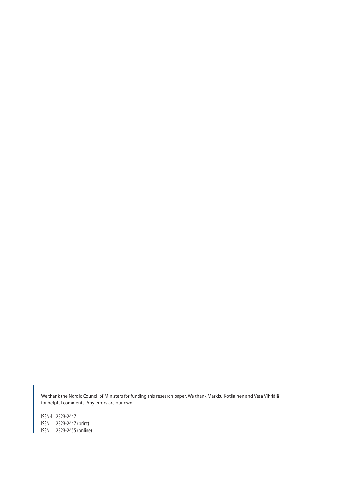We thank the Nordic Council of Ministers for funding this research paper. We thank Markku Kotilainen and Vesa Vihriälä for helpful comments. Any errors are our own.

ISSN-L 2323-2447 ISSN 2323-2447 (print) ISSN 2323-2455 (online)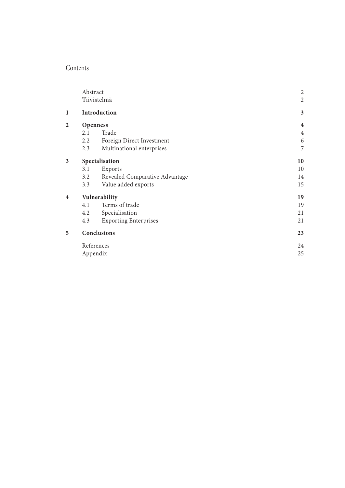## Contents

|                         | Abstract        | $\overline{\mathbf{c}}$        |                |  |  |
|-------------------------|-----------------|--------------------------------|----------------|--|--|
|                         | Tiivistelmä     | $\overline{c}$                 |                |  |  |
| 1                       | Introduction    | 3                              |                |  |  |
| $\overline{2}$          | <b>Openness</b> | $\overline{\mathbf{4}}$        |                |  |  |
|                         | 2.1             | Trade                          | $\overline{4}$ |  |  |
|                         | 2.2             | Foreign Direct Investment      | 6              |  |  |
|                         | 2.3             | Multinational enterprises      | 7              |  |  |
| $\overline{\mathbf{3}}$ | Specialisation  | 10                             |                |  |  |
|                         | 3.1             | Exports                        | 10             |  |  |
|                         | 3.2             | Revealed Comparative Advantage | 14             |  |  |
|                         | 3.3             | Value added exports            | 15             |  |  |
| 4                       | Vulnerability   | 19                             |                |  |  |
|                         | 4.1             | Terms of trade                 | 19             |  |  |
|                         | 4.2             | Specialisation                 | 21             |  |  |
|                         | 4.3             | <b>Exporting Enterprises</b>   | 21             |  |  |
| 5                       |                 | Conclusions                    | 23             |  |  |
|                         |                 | References                     | 24             |  |  |
|                         | Appendix        |                                |                |  |  |
|                         |                 |                                |                |  |  |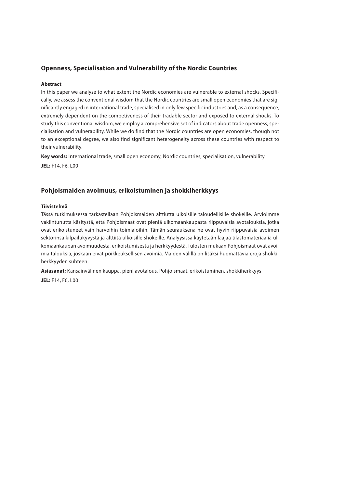#### **Openness, Specialisation and Vulnerability of the Nordic Countries**

#### **Abstract**

In this paper we analyse to what extent the Nordic economies are vulnerable to external shocks. Specifically, we assess the conventional wisdom that the Nordic countries are small open economies that are significantly engaged in international trade, specialised in only few specific industries and, as a consequence, extremely dependent on the competiveness of their tradable sector and exposed to external shocks. To study this conventional wisdom, we employ a comprehensive set of indicators about trade openness, specialisation and vulnerability. While we do find that the Nordic countries are open economies, though not to an exceptional degree, we also find significant heterogeneity across these countries with respect to their vulnerability.

**Key words:** International trade, small open economy, Nordic countries, specialisation, vulnerability **JEL:** F14, F6, L00

#### **Pohjoismaiden avoimuus, erikoistuminen ja shokkiherkkyys**

#### **Tiivistelmä**

Tässä tutkimuksessa tarkastellaan Pohjoismaiden alttiutta ulkoisille taloudellisille shokeille. Arvioimme vakiintunutta käsitystä, että Pohjoismaat ovat pieniä ulkomaankaupasta riippuvaisia avotalouksia, jotka ovat erikoistuneet vain harvoihin toimialoihin. Tämän seurauksena ne ovat hyvin riippuvaisia avoimen sektorinsa kilpailukyvystä ja alttiita ulkoisille shokeille. Analyysissa käytetään laajaa tilastomateriaalia ulkomaankaupan avoimuudesta, erikoistumisesta ja herkkyydestä. Tulosten mukaan Pohjoismaat ovat avoimia talouksia, joskaan eivät poikkeuksellisen avoimia. Maiden välillä on lisäksi huomattavia eroja shokkiherkkyyden suhteen.

**Asiasanat:** Kansainvälinen kauppa, pieni avotalous, Pohjoismaat, erikoistuminen, shokkiherkkyys **JEL:** F14, F6, L00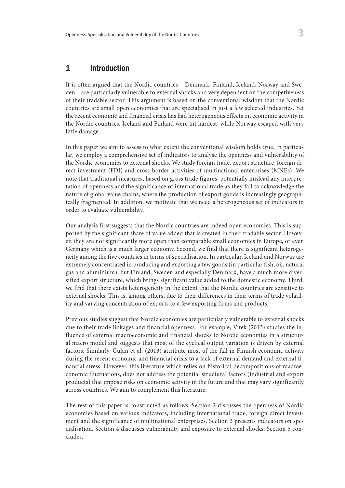## 1 Introduction

It is often argued that the Nordic countries – Denmark, Finland, Iceland, Norway and Sweden – are particularly vulnerable to external shocks and very dependent on the competiveness of their tradable sector. This argument is based on the conventional wisdom that the Nordic countries are small open economies that are specialised in just a few selected industries. Yet the recent economic and financial crisis has had heterogeneous effects on economic activity in the Nordic countries. Iceland and Finland were hit hardest, while Norway escaped with very little damage.

In this paper we aim to assess to what extent the conventional wisdom holds true. In particular, we employ a comprehensive set of indicators to analyse the openness and vulnerability of the Nordic economies to external shocks. We study foreign trade, export structure, foreign direct investment (FDI) and cross-border activities of multinational enterprises (MNEs). We note that traditional measures, based on gross trade figures, potentially mislead any interpretation of openness and the significance of international trade as they fail to acknowledge the nature of global value chains, where the production of export goods is increasingly geographically fragmented. In addition, we motivate that we need a heterogeneous set of indicators in order to evaluate vulnerability.

Our analysis first suggests that the Nordic countries are indeed open economies. This is supported by the significant share of value added that is created in their tradable sector. However, they are not significantly more open than comparable small economies in Europe, or even Germany which is a much larger economy. Second, we find that there is significant heterogeneity among the five countries in terms of specialisation. In particular, Iceland and Norway are extremely concentrated in producing and exporting a few goods (in particular fish, oil, natural gas and aluminium), but Finland, Sweden and especially Denmark, have a much more diversified export structure, which brings significant value added to the domestic economy. Third, we find that there exists heterogeneity in the extent that the Nordic countries are sensitive to external shocks. This is, among others, due to their differences in their terms of trade volatility and varying concentration of exports to a few exporting firms and products.

Previous studies suggest that Nordic economies are particularly vulnerable to external shocks due to their trade linkages and financial openness. For example, Vitek (2013) studies the influence of external macroeconomic and financial shocks to Nordic economies in a structural macro model and suggests that most of the cyclical output variation is driven by external factors. Similarly, Gulan et al. (2013) attribute most of the fall in Finnish economic activity during the recent economic and financial crisis to a lack of external demand and external financial stress. However, this literature which relies on historical decompositions of macroeconomic fluctuations, does not address the potential structural factors (industrial and export products) that impose risks on economic activity in the future and that may vary significantly across countries. We aim to complement this literature.

The rest of this paper is constructed as follows. Section 2 discusses the openness of Nordic economies based on various indicators, including international trade, foreign direct investment and the significance of multinational enterprises. Section 3 presents indicators on specialisation. Section 4 discusses vulnerability and exposure to external shocks. Section 5 concludes.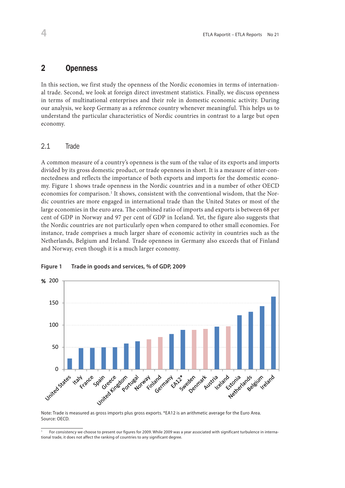#### Second, we look at foreign direct investment statistics. Finally, we discuss open terms of  $\alpha$ 2 Openness

In this section, we first study the openness of the Nordic economies in terms of international trade. Second, we look at foreign direct investment statistics. Finally, we discuss openness in terms of multinational enterprises and their role in domestic economic activity. During understand the particular characteristics of Nordic countries in contrast to a large but open our analysis, we keep Germany as a reference country whenever meaningful. This helps us to economy.

#### $\overline{a}$  is group of inter-openness in short. It is a measure of inter-openness in short. It is a measure of interc.1 Inducts the importance of both exports and importance of both exponents in the domestic economy. 2.1 Trade

A common measure of a country's openness is the sum of the value of its exports and imports divided by its gross domestic product, or trade openness in short. It is a measure of inter-connectedness and reflects the importance of both exports and imports for the domestic economy. Figure 1 shows trade openness in the Nordic countries and in a number of other OECD economies for comparison.<sup>1</sup> It shows, consistent with the conventional wisdom, that the Nordic countries are more engaged in international trade than the United States or most of the large economies in the euro area. The combined ratio of imports and exports is between 68 per cent of GDP in Norway and 97 per cent of GDP in Iceland. Yet, the figure also suggests that the Nordic countries are not particularly open when compared to other small economies. For<br>instance, the Larger is a much larger share of a consuming stirity in acceptive such as the economy. my. Figure 1 shows trade openness in the Nordic countries and in a number of other OECD instance, trade comprises a much larger share of economic activity in countries such as the Netherlands, Belgium and Ireland. Trade openness in Germany also exceeds that of Finland and Norway, even though it is a much larger economy.



# **Figure 1: Trade in goods and services, % of GDP, 2009 Figure 1 Trade in goods and services, % of GDP, 2009**

Note: Trade is measured as gross imports plus gross exports. \*EA12 is an arithmetic average for the Euro Area.<br>Source: OECD Source: OECD.

 $\overline{\phantom{a}^1\phantom{a}F}$ For consistency we choose to present our figures for 2009. While 2009 was a year associated with significant turbulence in international trade, it does not affect the ranking of countries to any significant degree.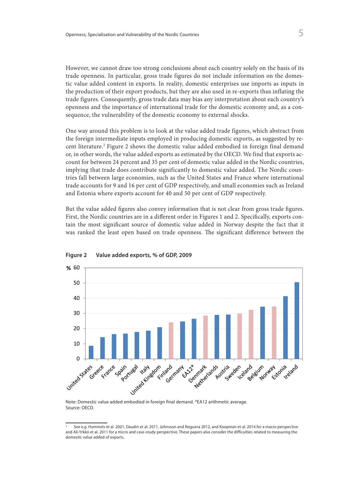However, we cannot draw too strong conclusions about each country solely on the basis of its trade openness. In particular, gross trade figures do not include information on the domestic value added content in exports. In reality, domestic enterprises use imports as inputs in 4 the production of their export products, but they are also used in re-exports thus inflating the trade figures. Consequently, gross trade data may bias any interpretation about each country's openness and the importance of international trade for the domestic economy and, as a consequence, the vulnerability of the domestic economy to external shocks.

One way around this problem is to look at the value added trade figures, which abstract from the foreign intermediate inputs employed in producing domestic exports, as suggested by recent literature.<sup>2</sup> Figure 2 shows the domestic value added embodied in foreign final demand or, in other words, the value added exports as estimated by the OECD. We find that exports account for between 24 percent and 35 per cent of domestic value added in the Nordic countries, implying that trade does contribute significantly to domestic value added. The Nordic countries fall between large economies, such as the United States and France where international trade accounts for 9 and 16 per cent of GDP respectively, and small economies such as Ireland trade accounts for 9 and 16 per cent of GDP respectively, and small economies such as Ireland and Estonia where exports account for 40 and 50 per cent of GDP respectively.  $\frac{1}{1}$ 

But the value added figures also convey information that is not clear from gross trade figures.<br>  $\Gamma$ First, the Nordic countries are in a different order in Figures 1 and 2. Specifically, exports contain the most significant source of domestic value added in Norway despite the fact that it that it was ranked the least open based on trade openness. The significant difference between the



**Figure 2: Value-Added Exports, % of GDP, 2009 Figure 2 Value added exports, % of GDP, 2009**

Note: Domestic value added embodied in foreign final demand. \*EA12 arithmetic average.<br>Source: OFCD. Source: OECD.

<sup>&</sup>lt;sup>2</sup> See e.g. Hummels et al. 2001, Daudin et al. 2011, Johnsson and Noguera 2012, and Koopman et al. 2014 for a macro perspective<br>and Ali-Yrkkö et al. 2011 for a micro and case-study perspective. These papers also consider and Ali-Yrkkö et al. 2011 for a micro and case-study perspective. These papers also consider the difficulties related to measuring the domestic value added of exports.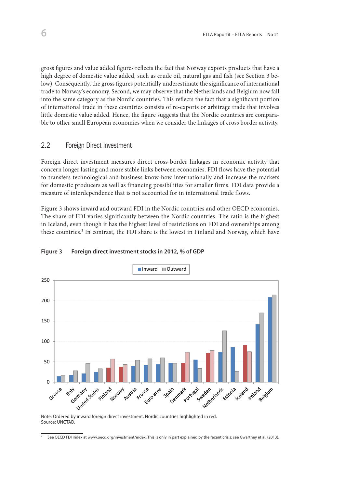gross figures and value added figures reflects the fact that Norway exports products that have a high degree of domestic value added, such as crude oil, natural gas and fish (see Section 3 below). Consequently, the gross figures potentially underestimate the significance of international tow). Consequently, the gross lightes potentially directestimate the significance of international trade to Norway's economy. Second, we may observe that the Netherlands and Belgium now fall into the same category as the Nordic countries. This reflects the fact that a significant portion into the same category as the Nordic countries. This reflects the fact that a significant portion of international trade in these countries consists of re-exports or arbitrage trade that involves or international trade in these countries consists or re-exports or arolitage trade that involves<br>little domestic value added. Hence, the figure suggests that the Nordic countries are comparable to other small European economies when we consider the linkages of cross border activity.

#### 2.2 Foreign Direct Investment<br>
and business know-how international and increase the markets for domestic for domestic for domestic for domes  $p_{\text{max}}$  as well as finaller financing possibilities for smaller firms. For smaller  $p_{\text{max}}$

Foreign direct investment measures direct cross-border linkages in economic activity that concern longer lasting and more stable links between economies. FDI flows have the potential to transfers technological and business know-how internationally and increase the markets for domestic producers as well as financing possibilities for smaller firms. FDI data provide a even though it is not accounted for in international trade flows.

Figure 3 shows inward and outward FDI in the Nordic countries and other OECD economies. The share of FDI varies significantly between the Nordic countries. The ratio is the highest in Iceland, even though it has the highest level of restrictions on FDI and ownerships among these countries.<sup>3</sup> In contrast, the FDI share is the lowest in Finland and Norway, which have



#### **Figure 3 Foreign direct investment stocks in 2012, % of GDP**

Note: Ordered by inward foreign direct investment. Nordic countries highlighted in red. Note: Ordered by inward foreign direct investment. Nordic countries highlighted in red. Source: UNCTAD.

<sup>&</sup>lt;sup>3</sup> See OECD FDI index at www.oecd.org/investment/index. This is only in part explained by the recent crisis; see Gwartney et al. (2013).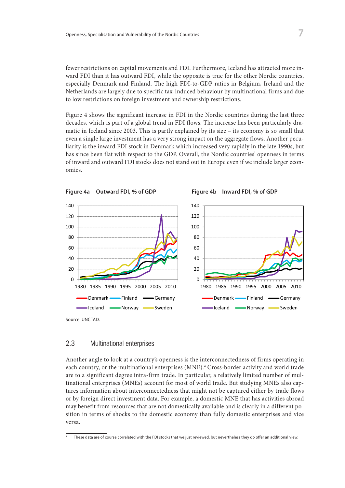fewer restrictions on capital movements and FDI. Furthermore, Iceland has attracted more inward FDI than it has outward FDI, while the opposite is true for the other Nordic countries, especially Denmark and Finland. The high FDI-to-GDP ratios in Belgium, Ireland and the Netherlands are largely due to specific tax-induced behaviour by multinational firms and due to low restrictions on foreign investment and ownership restrictions.

Figure 4 shows the significant increase in FDI in the Nordic countries during the last three decades, which is part of a global trend in FDI flows. The increase has been particularly dramatic in Iceland since 2003. This is partly explained by its size – its economy is so small that matic in tectand since 2005. This is partly explained by its size – its economy is so small that even a single large investment has a very strong impact on the aggregate flows. Another peculiarity is the inward FDI stock in Denmark which increased very rapidly in the late 1990s, but liarity is the inward FDI stock in Denmark which increased very rapidly in the late 1990s, but has since been flat with respect to the GDP. Overall, the Nordic countries' openness in terms has since been flat with respect to the GDP. Overall, the Nordic countries' openness in terms of inward and outward FDI stocks does not stand out in Europe even if we include larger economies. omies.



#### 2.3 Multinational enterprises

Another angle to look at a country's openness is the interconnectedness of firms operating in each country, or the multinational enterprises (MNE).<sup>4</sup> Cross-border activity and world trade are to a significant degree intra-firm trade. In particular, a relatively limited number of multures information about interconnectedness that might not be captured either by trade flows tures information about interconnectedness that might not be captured either by trade flows or by foreign direct investment data. For example, a domestic MNE that has activities abroad may benefit from resources that are not domestically available and is clearly in a different position in terms of shocks to the domestic economy than fully domestic enterprises and vice  $\frac{1}{\sqrt{2}}$  shows the invariance and value and value and value added as a as a added as a added as a added as a added as a added as a added as a  $\frac{1}{\sqrt{2}}$ tinational enterprises (MNEs) account for most of world trade. But studying MNEs also capversa.

 $\overline{a}$  These data are of course correlated with the FDI stocks that we just reviewed, but nevertheless they do offer an additional view.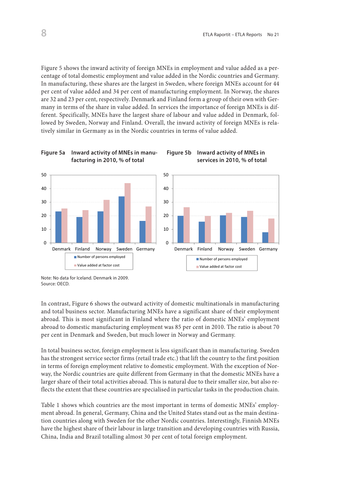lowed by Sweden, Norway and Finland. Overall, the inward activity of foreign MNEs is rela-Figure 5 shows the inward activity of foreign MNEs in employment and value added as a percentage of total domestic employment and value added in the Nordic countries and Germany. In manufacturing, these shares are the largest in Sweden, where foreign MNEs account for 44 per cent of value added and 34 per cent of manufacturing employment. In Norway, the shares are 32 and 23 per cent, respectively. Denmark and Finland form a group of their own with Germany in terms of the share in value added. In services the importance of foreign MNEs is different. Specifically, MNEs have the largest share of labour and value added in Denmark, foltively similar in Germany as in the Nordic countries in terms of value added.



**Figure 5a Inward activity of MNEs in manu-**

**Figure 5b Inward activity of MNEs in**

In contrast, Figure 6 shows the outward activity of domestic multinationals in manufacturing and total business sector. Manufacturing MNEs have a significant share of their employment abroad. This is most significant in Finland where the ratio of domestic MNEs' employment abroad to domestic manufacturing employment was 85 per cent in 2010. The ratio is about 70 per cent in Denmark and Sweden, but much lower in Norway and Germany.

In total business sector, foreign employment is less significant than in manufacturing. Sweden has the strongest service sector firms (retail trade etc.) that lift the country to the first position in terms of foreign employment relative to domestic employment. With the exception of Norway, the Nordic countries are quite different from Germany in that the domestic MNEs have a larger share of their total activities abroad. This is natural due to their smaller size, but also reflects the extent that these countries are specialised in particular tasks in the production chain.

Table 1 shows which countries are the most important in terms of domestic MNEs' employment abroad. In general, Germany, China and the United States stand out as the main destination countries along with Sweden for the other Nordic countries. Interestingly, Finnish MNEs have the highest share of their labour in large transition and developing countries with Russia, China, India and Brazil totalling almost 30 per cent of total foreign employment.

*Note:* No data for Iceland. Denmark in 2009. Note: No data for Iceland. Denmark in 2009. *Source:* OECD. Source: OECD.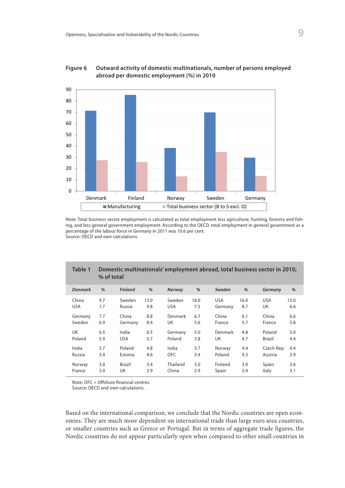

#### **Figure 7: Outfinational per domestic employment (%) in 2010 Figure 6 Outward activity of domestic multinationals, number of persons employed**

Note: Total business sector employment is calculated as total employment less agriculture, hunting, forestry and fishand less general government employment. According to the OECD, total employment in general government as a ing, and less general government employment. According to the OECD, total employment in general government as a percentage of the labour force in Germany in 2011 was 10.6 per cent. percentage of the labour force in Germany in 2011 was 10.6 per cent. Source: OECD and own calculations. Source: OECD and own calculations.

| Table 1        | Domestic multinationals' employment abroad, total business sector in 2010,<br>% of total |                |      |            |      |            |      |            |      |
|----------------|------------------------------------------------------------------------------------------|----------------|------|------------|------|------------|------|------------|------|
| <b>Denmark</b> | %                                                                                        | <b>Finland</b> | %    | Norway     | %    | Sweden     | %    | Germany    | %    |
| China          | 9.7                                                                                      | Sweden         | 13.0 | Sweden     | 18.0 | <b>USA</b> | 16.0 | <b>USA</b> | 13.0 |
| <b>USA</b>     | 7.7                                                                                      | Russia         | 9.8  | <b>USA</b> | 7.5  | Germany    | 8.7  | UK         | 6.6  |
| Germany        | 7.7                                                                                      | China          | 8.8  | Denmark    | 6.7  | China      | 6.1  | China      | 6.6  |
| Sweden         | 6.9                                                                                      | Germany        | 8.4  | UK         | 5.6  | France     | 5.7  | France     | 5.8  |
| UK             | 6.5                                                                                      | India          | 6.5  | Germany    | 5.0  | Denmark    | 4.8  | Poland     | 5.0  |
| Poland         | 5.9                                                                                      | <b>USA</b>     | 5.7  | Poland     | 3.8  | UK         | 4.7  | Brazil     | 4.4  |
| India          | 3.7                                                                                      | Poland         | 4.8  | India      | 3.7  | Norway     | 4.4  | Czech Rep. | 4.4  |
| Russia         | 3.4                                                                                      | Estonia        | 4.6  | <b>OFC</b> | 3.4  | Poland     | 4.3  | Austria    | 3.9  |
| Norway         | 3.0                                                                                      | <b>Brazil</b>  | 3.4  | Thailand   | 3.0  | Finland    | 3.9  | Spain      | 3.6  |
| France         | 3.0                                                                                      | UK             | 2.9  | China      | 2.9  | Spain      | 3.4  | Italy      | 3.1  |

Note: OFC = Offshore financial centres.

Source: OECD and own calculations.

Based on the international comparison, we conclude that the Nordic countries are open economies. They are much more dependent on international trade than large euro area countries, or smaller countries such as Greece or Portugal. But in terms of aggregate trade figures, the Nordic countries do not appear particularly open when compared to other small countries in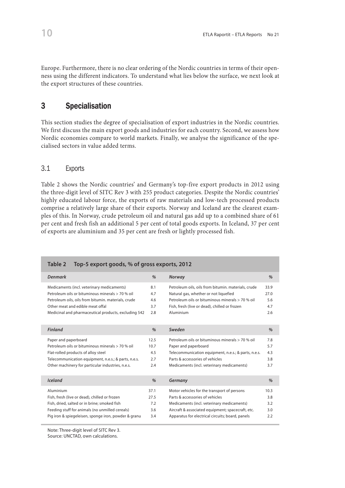Europe. Furthermore, there is no clear ordering of the Nordic countries in terms of their openness using the different indicators. To understand what lies below the surface, we next look at the export structures of these countries.

## 3 Specialisation

This section studies the degree of specialisation of export industries in the Nordic countries. We first discuss the main export goods and industries for each country. Second, we assess how Nordic economies compare to world markets. Finally, we analyse the significance of the specialised sectors in value added terms.

#### 3.1 Exports

Table 2 shows the Nordic countries' and Germany's top-five export products in 2012 using the three-digit level of SITC Rev 3 with 255 product categories. Despite the Nordic countries' highly educated labour force, the exports of raw materials and low-tech processed products comprise a relatively large share of their exports. Norway and Iceland are the clearest examples of this. In Norway, crude petroleum oil and natural gas add up to a combined share of 61 per cent and fresh fish an additional 5 per cent of total goods exports. In Iceland, 37 per cent of exports are aluminium and 35 per cent are fresh or lightly processed fish.

| Table 2<br>Top-5 export goods, % of gross exports, 2012 |      |                                                      |      |  |  |  |  |  |  |
|---------------------------------------------------------|------|------------------------------------------------------|------|--|--|--|--|--|--|
| <b>Denmark</b>                                          | %    | Norway                                               | %    |  |  |  |  |  |  |
| Medicaments (incl. veterinary medicaments)              | 8.1  | Petroleum oils, oils from bitumin. materials, crude  | 33.9 |  |  |  |  |  |  |
| Petroleum oils or bituminous minerals > 70 % oil        | 4.7  | Natural gas, whether or not liquefied                | 27.0 |  |  |  |  |  |  |
| Petroleum oils, oils from bitumin. materials, crude     | 4.6  | Petroleum oils or bituminous minerals > 70 % oil     | 5.6  |  |  |  |  |  |  |
| Other meat and edible meat offal                        | 3.7  | Fish, fresh (live or dead), chilled or frozen        | 4.7  |  |  |  |  |  |  |
| Medicinal and pharmaceutical products, excluding 542    | 2.8  | Aluminium                                            |      |  |  |  |  |  |  |
|                                                         |      |                                                      |      |  |  |  |  |  |  |
| <b>Finland</b>                                          | %    | Sweden                                               | %    |  |  |  |  |  |  |
| Paper and paperboard                                    | 12.5 | Petroleum oils or bituminous minerals > 70 % oil     | 7.8  |  |  |  |  |  |  |
| Petroleum oils or bituminous minerals > 70 % oil        | 10.7 | Paper and paperboard                                 | 5.7  |  |  |  |  |  |  |
| Flat-rolled products of alloy steel                     | 4.5  | Telecommunication equipment, n.e.s.; & parts, n.e.s. | 4.3  |  |  |  |  |  |  |
| Telecommunication equipment, n.e.s.; & parts, n.e.s.    | 2.7  | Parts & accessories of vehicles                      | 3.8  |  |  |  |  |  |  |
| Other machinery for particular industries, n.e.s.       | 2.4  | Medicaments (incl. veterinary medicaments)           | 3.7  |  |  |  |  |  |  |
|                                                         |      |                                                      |      |  |  |  |  |  |  |
| <b>Iceland</b>                                          | %    | Germany                                              | %    |  |  |  |  |  |  |
| Aluminium                                               | 37.1 | Motor vehicles for the transport of persons          | 10.3 |  |  |  |  |  |  |
| Fish, fresh (live or dead), chilled or frozen           | 27.5 | Parts & accessories of vehicles                      | 3.8  |  |  |  |  |  |  |
| Fish, dried, salted or in brine; smoked fish            | 7.2  | Medicaments (incl. veterinary medicaments)           | 3.2  |  |  |  |  |  |  |
| Feeding stuff for animals (no unmilled cereals)         | 3.6  | Aircraft & associated equipment; spacecraft, etc.    | 3.0  |  |  |  |  |  |  |
| Pig iron & spiegeleisen, sponge iron, powder & granu    | 3.4  | Apparatus for electrical circuits; board, panels     | 2.2  |  |  |  |  |  |  |
|                                                         |      |                                                      |      |  |  |  |  |  |  |

Note: Three-digit level of SITC Rev 3.

Source: UNCTAD, own calculations.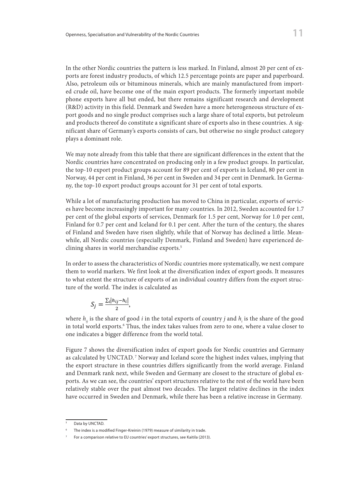In the other Nordic countries the pattern is less marked. In Finland, almost 20 per cent of exports are forest industry products, of which 12.5 percentage points are paper and paperboard. Also, petroleum oils or bituminous minerals, which are mainly manufactured from imported crude oil, have become one of the main export products. The formerly important mobile phone exports have all but ended, but there remains significant research and development phone exports have an out ended, out there remains significant research and development (R&D) activity in this field. Denmark and Sweden have a more heterogeneous structure of export goods and no single product comprises such a large share of total exports, but petroleum and products thereof do constitute a significant share of exports also in these countries. A significant share of Germany's exports consists of cars, but otherwise no single product category **Iceland** % **Germany** % plays a dominant role.  $F(K(X,Y))$  activity in this field. Definition and sweden have a more neterogent

We may note already from this table that there are significant differences in the extent that the Nordic countries have concentrated on producing only in a few product groups. In particular, the top-10 export product groups account for 89 per cent of exports in Iceland, 80 per cent in the top-10 export product groups account for 89 per cent of exports in Iceland, 80 per cent in Norway, 44 per cent in Finland, 36 per cent in Sweden and 34 per cent in Denmark. In Germany, the top-10 export product groups account for 31 per cent of total exports.

While a lot of manufacturing production has moved to China in particular, exports of services have become increasingly important for many countries. In 2012, Sweden accounted for 1.7 per cent of the global exports of services, Denmark for 1.5 per cent, Norway for 1.0 per cent, Finland for 0.7 per cent and Iceland for 0.1 per cent. After the turn of the century, the shares of Finland and Sweden have risen slightly, while that of Norway has declined a little. Meanwhile, all Nordic countries (especially Denmark, Finland and Sweden) have experienced declining shares in world merchandise exports.5

In order to assess the characteristics of Nordic countries more systematically, we next compare them to world markers. We first look at the diversification index of export goods. It measures them to world markers. We first look at the diversification index of export goods. It measures to to what extent the structure of exports of an individual country differs from the export structure of the world. The index is calculated as In order to assess the characteristics of Nordic countries more systematically, we next compare

$$
S_j = \frac{\sum_i |h_{ij} - h_i|}{2},
$$

where  $h_{ij}$  is the share of good *i* in the total exports of country *j* and  $h_i$  is the share of the good in total world exports.6 Thus, the index takes values from zero to one, where a value closer to In total world caports. Thus, the index takes values from zero to one, where indicates a bigger difference from the world total.

Figure 7 shows the diversification index of export goods for Nordic countries and Germany as calculated by UNCTAD.<sup>7</sup> Norway and Iceland score the highest index values, implying that the export structure in these countries differs significantly from the world average. Finland the export structure in these countries differs significantly from the world average. Finland and Denmark rank next, while Sweden and Germany are closest to the structure of global exports. As we can see, the countries' export structures relative to the rest of the world have been relatively stable over the past almost two decades. The largest relative declines in the index relatively stable have occurred in Sweden and Denmark, while there has been a relative increase in Germany.

Data by UNCTAD.  $T_{\text{max}}$  modified Finger-Kreinin (1979) measure of similar in trade.

and by ONCTAD.<br><sup>6</sup> The index is a modified Finger-Kreinin (1979) measure of similarity in trade.

 $7$  For a comparison relative to EU countries' export structures, see Kaitila (2013).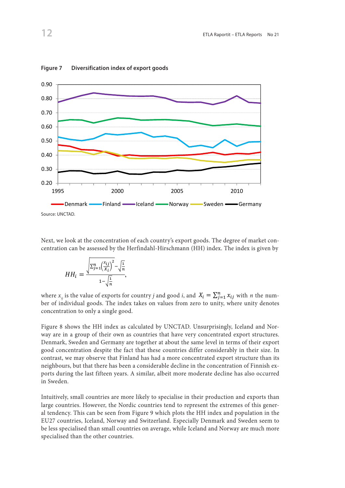

Figure 7 Diversification index of export goods

Next, we look at the concentration of each country's export goods. The degree of market concentration can be assessed by the Herfindahl-Hirschmann (HH) index. The index is given by

$$
HH_i = \frac{\sqrt{\sum_{j=1}^n \left(\frac{x_{ij}}{x_i}\right)^2} - \sqrt{\frac{1}{n}}}{1 - \sqrt{\frac{1}{n}}},
$$

where  $x_{ij}$  is the value of exports for country *j* and good *i*, and  $X_i = \sum_{j=1}^n x_{ij}$  with *n* the number of individual goods. The index takes on values from zero to unity, where unity denotes where  $x_{ij}$  is the value of exports for country *f* and good *t*, and  $x_i - \sum_{j=1}^{i} x_{ij}$  with *n* the number of individual goods. The index takes on values from zero to unity, where unity denotes concentration to only a single good. concentration to only

way are in a group of their own as countries that have very concentrated export structures. Denmark, Sweden and Germany are together at about the same level in terms of their export contrast, we may observe that Finland has had a more concentrated export structure than its neighbours, but that there has been a considerable decline in the concentration of Finnish exports during the last fifteen years. A similar, albeit more moderate decline has also occurred<br>in Sweden  $\ln$  sweden. Figure 8 shows the HH index as calculated by UNCTAD. Unsurprisingly, Iceland and Norgood concentration despite the fact that these countries differ considerably in their size. In in Sweden. contrast, we may observe that Finland has had a more concentrated export structure than its  $n+1$ ,  $n+1$ ,  $n+1$ ,  $n+1$ ,  $n+1$ ,  $n+1$ ,  $n+1$ ,  $n+1$ ,  $n+1$ ,  $n+1$ ,  $n+1$ ,  $n+1$ ,  $n+1$ ,  $n+1$ ,  $n+1$ ,  $n+1$ ,  $n+1$ ,  $n+1$ ,  $n+$ there has been a considerable decline in the concentration of Finnish can<br>ports during the last fifteen veers. A similar albeit more moderate decline has also occurred years. A similar, albeit more moderate decline has also occurred in Sweden.

> Intuitively, small countries are more likely to specialise in their production and exports than large countries. However, the Nordic countries tend to represent the extremes of this general tendency. This can be seen from Figure 9 which plots the HH index and population in the EU27 countries, Iceland, Norway and Switzerland. Especially Denmark and Sweden seem to be less specialised than small countries on average, while Iceland and Norway are much more specialised than the other countries.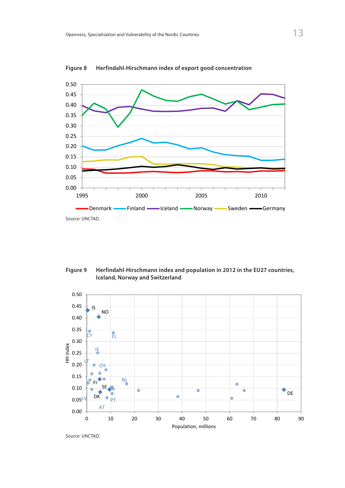

**Figure 9: Herfindahl-Hirschmann index of export good concentration Figure 8 Herfindahl-Hirschmann index of export good concentration**

**Example 2018** Iceland, Norway and Switzerland **Contract 2018** Iceland, Norway and Switzerland. Especially Denmark and Sweden seem to be less specialised than **Figure 9 Herfindahl-Hirschmann index and population in 2012 in the EU27 countries,** 



Source: UNCTAD.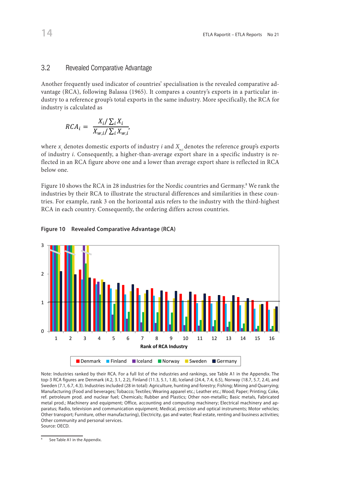# 3.2 Revealed Comparative Advantage *3.5 Revealed Comparative Advantage*

Another frequently used indicator of countries' specialisation is the revealed comparative advantage (RCA), following Balassa (1965). It compares a country's exports in a particular industry to a reference group's total exports in the same industry. More specifically, the RCA for industry is calculated as Another frequently used indicator of countries' specialisation is the revealed comparative advantage advantage

$$
RCA_i = \frac{X_i/\sum_i X_i}{X_{w,i}/\sum_i X_{w,i'}}
$$

where  $x_i$  denotes domestic exports of industry  $i$  and  $X_{w,i}$  denotes the reference group's exports of industry *i*. Consequently, a higher-than-average export share in a specific industry is re-<br>flected in an BCA figure share and a layer than average export share is reflected in BCA flected in an RCA figure above one and a lower than average export share is reflected in RCA RCA figure above one and a lower than average export share is reflected in RCA below one. below one.

RCA in each country. Consequently, the ordering differs across countries. Figure 10 shows the RCA in 28 industries for the Nordic countries and Germany.<sup>8</sup> We rank the industries by their RCA to illustrate the structural differences and similarities in these countries. For example, rank 3 on the horizontal axis refers to the industry with the third-highest



### **Figure 10 Revealed Comparative Advantage (RCA)**  $W = \frac{1}{2} \int_{0}^{2\pi} \frac{1}{2} \cos(\theta - \theta) \sin(\theta - \theta) d\theta$

Note: Industries ranked by their RCA. For a full list of the industries and rankings, see Table A1 in the Appendix. The top-3 RCA figures are Denmark (4.2, 3.1, 2.2), Finland (11.3, 5.1, 1.8), Iceland (24.4, 7.4, 6.5), Norway (18.7, 5.7, 2.4), and Sweden (7.1, 6.7, 4.5). maastries included (26 in total): Agriculture, hunting and forestry, Fishing, Mining and Quarrying,<br>Manufacturing (Food and beverages; Tobacco; Textiles; Wearing apparel etc.; Leather etc.; Wood; Pa ref. petroleum prod. and nuclear fuel; Chemicals; Rubber and Plastics; Other non-metallic; Basic metals, Fabricated metal prod.; Machinery and equipment; Office, accounting and computing machinery; Electrical machinery and apparatus; Radio, television and communication equipment; Medical, precision and optical instruments; Motor vehicles; Other transport; Furniture, other manufacturing), Electricity, gas and water; Real estate, renting and business activities;<br>Col Motor vehicles; Other transport; Furniture, other manufacturing), Electricity, gas and water; Real estate, renting and water; Real estate, renting and water; Real estate, renting and water; Real estate, renting and water; Sweden (7.1, 6.7, 4.3). Industries included (28 in total): Agriculture, hunting and forestry; Fishing; Mining and Quarrying; Other community and personal services. Source: OECD.

 $\overline{\text{8}}$  See Table A1 in the Appendix.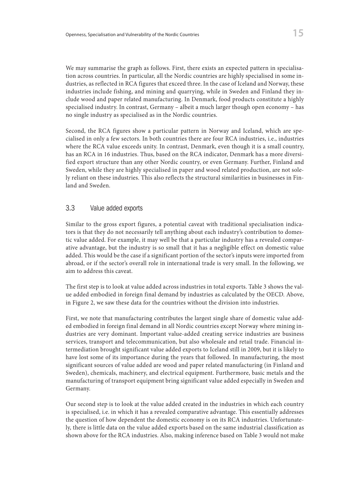We may summarise the graph as follows. First, there exists an expected pattern in specialisation across countries. In particular, all the Nordic countries are highly specialised in some industries, as reflected in RCA figures that exceed three. In the case of Iceland and Norway, these industries include fishing, and mining and quarrying, while in Sweden and Finland they include wood and paper related manufacturing. In Denmark, food products constitute a highly specialised industry. In contrast, Germany – albeit a much larger though open economy – has no single industry as specialised as in the Nordic countries.

Second, the RCA figures show a particular pattern in Norway and Iceland, which are specialised in only a few sectors. In both countries there are four RCA industries, i.e., industries where the RCA value exceeds unity. In contrast, Denmark, even though it is a small country, has an RCA in 16 industries. Thus, based on the RCA indicator, Denmark has a more diversified export structure than any other Nordic country, or even Germany. Further, Finland and Sweden, while they are highly specialised in paper and wood related production, are not solely reliant on these industries. This also reflects the structural similarities in businesses in Finland and Sweden.

#### 3.3 Value added exports

Similar to the gross export figures, a potential caveat with traditional specialisation indicators is that they do not necessarily tell anything about each industry's contribution to domestic value added. For example, it may well be that a particular industry has a revealed comparative advantage, but the industry is so small that it has a negligible effect on domestic value added. This would be the case if a significant portion of the sector's inputs were imported from abroad, or if the sector's overall role in international trade is very small. In the following, we aim to address this caveat.

The first step is to look at value added across industries in total exports. Table 3 shows the value added embodied in foreign final demand by industries as calculated by the OECD. Above, in Figure 2, we saw these data for the countries without the division into industries.

First, we note that manufacturing contributes the largest single share of domestic value added embodied in foreign final demand in all Nordic countries except Norway where mining industries are very dominant. Important value-added creating service industries are business services, transport and telecommunication, but also wholesale and retail trade. Financial intermediation brought significant value added exports to Iceland still in 2009, but it is likely to have lost some of its importance during the years that followed. In manufacturing, the most significant sources of value added are wood and paper related manufacturing (in Finland and Sweden), chemicals, machinery, and electrical equipment. Furthermore, basic metals and the manufacturing of transport equipment bring significant value added especially in Sweden and Germany.

Our second step is to look at the value added created in the industries in which each country is specialised, i.e. in which it has a revealed comparative advantage. This essentially addresses the question of how dependent the domestic economy is on its RCA industries. Unfortunately, there is little data on the value added exports based on the same industrial classification as shown above for the RCA industries. Also, making inference based on Table 3 would not make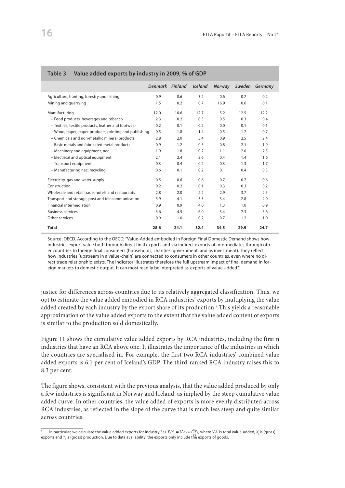|                                                        | Denmark Finland |      | <b>Iceland</b> | Norway | Sweden | Germany |
|--------------------------------------------------------|-----------------|------|----------------|--------|--------|---------|
| Agriculture, hunting, forestry and fishing             | 0.9             | 0.6  | 3.2            | 0.6    | 0.7    | 0.2     |
| Mining and quarrying                                   | 1.5             | 0.2  | 0.7            | 16.9   | 0.6    | 0.1     |
| Manufacturing                                          | 12.0            | 10.6 | 12.7           | 5.2    | 12.5   | 12.2    |
| - Food products, beverages and tobacco                 | 2.3             | 0.2  | 0.5            | 0.5    | 0.3    | 0.4     |
| - Textiles, textile products, leather and footwear     | 0.2             | 0.1  | 0.2            | 0.0    | 0.1    | 0.1     |
| - Wood, paper, paper products, printing and publishing | 0.5             | 1.8  | 1.4            | 0.5    | 1.7    | 0.7     |
| - Chemicals and non-metallic mineral products          | 2.8             | 2.0  | 5.4            | 0.9    | 2.5    | 2.4     |
| - Basic metals and fabricated metal products           | 0.9             | 1.2  | 0.5            | 0.8    | 2.1    | 1.9     |
| - Machinery and equipment, nec                         | 1.9             | 1.8  | 0.2            | 1.1    | 2.0    | 2.5     |
| - Electrical and optical equipment                     | 2.1             | 2.4  | 3.6            | 0.4    | 1.4    | 1.6     |
| - Transport equipment                                  | 0.3             | 0.4  | 0.2            | 0.3    | 1.3    | 1.7     |
| - Manufacturing nec; recycling                         | 0.6             | 0.1  | 0.2            | 0.1    | 0.4    | 0.3     |
| Electricity, gas and water supply                      | 0.5             | 0.6  | 0.6            | 0.7    | 0.7    | 0.6     |
| Construction                                           | 0.2             | 0.2  | 0.1            | 0.3    | 0.3    | 0.2     |
| Wholesale and retail trade; hotels and restaurants     | 2.8             | 2.0  | 2.2            | 2.9    | 3.7    | 2.5     |
| Transport and storage, post and telecommunication      | 5.9             | 4.1  | 3.3            | 3.4    | 2.8    | 2.0     |
| Financial intermediation                               | 0.9             | 0.9  | 4.0            | 1.3    | 1.0    | 0.9     |
| <b>Business services</b>                               | 3.6             | 4.5  | 6.0            | 3.4    | 7.3    | 5.6     |
| Other services                                         | 0.9             | 1.0  | 0.2            | 0.7    | 1.2    | 1.0     |
| Total                                                  | 28.6            | 24.1 | 32.4           | 34.5   | 29.9   | 24.7    |

#### **Table 3 Value added exports by industry in 2009, % of GDP**

Source: OECD. According to the OECD, "Value-Added embodied in Foreign Final Domestic Demand shows how industries export value both through direct final exports and via indirect exports of intermediates through other countries to foreign final consumers (households, charities, government, and as investment). They reflect how industries (upstream in a value-chain) are connected to consumers in other countries, even where no direct trade relationship exists. The indicator illustrates therefore the full upstream impact of final demand in foreign markets to domestic output. It can most readily be interpreted as 'exports of value-added'".

justice for differences across countries due to its relatively aggregated classification. Thus, we public for americies across countries are to no relatively aggregated elassification. Thus, we opt to estimate the value added embodied in RCA industries' exports by multiplying the value added created by each industry by the export share of its production.<sup>9</sup> This yields a reasonable approximation of the value added exports to the extent that the value added content of exports 16 is similar to the production sold domestically.

Figure 11 shows the cumulative value added exports by RCA industries, including the first n industries that have an RCA above one. It illustrates the importance of the industries in which 8 the countries are specialised in. For example, the first two RCA industries' combined value added exports is 6.1 per cent of Iceland's GDP. The third-ranked RCA industry raises this to 4 8.3 per cent. **ne**<br> **W**<br> **d**<br> **a**<br> **a**<br> **b** 

The figure shows, consistent with the previous analysis, that the value added produced by only **Rank of RCA Industry** a few industries is significant in Norway and Iceland, as implied by the steep cumulative value added curve. In other countries, the value added of exports is more evenly distributed across RCA industries, as reflected in the slope of the curve that is much less steep and quite similar across countries. and recall above one and ranked by the intervalues. Data is for 2007 (Denmark, Norway, Sweden), 2008 (Germany), 2008 (Germany), 2008 (Germany), 2008 (Germany), 2008 (Germany), 2008 (Germany), 2008 (Germany), 2008 (Germany

 $\overline{a}$ 

<sup>&</sup>lt;sup>9</sup> In particular, we calculate the value added exports for industry *i* as  $X_i^{VA} = VA_i * (\frac{X_i}{Y_i})$ , where *VA<sub>i</sub>* is total value-added,  $X_i$  is (gross) exports and Y<sub>i</sub> is (gross) production. Due to data availability, the exports only include the exports of goods.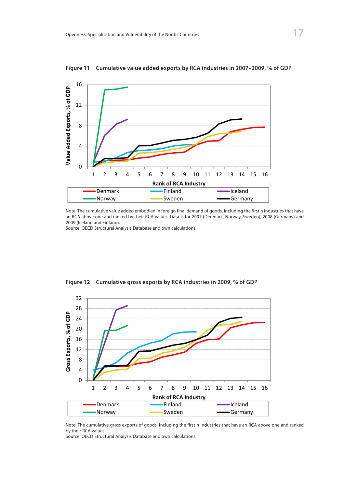

**Figure 12: Cumulative Value Added Exports by RCA industries in 2007-2009, % of GDP Figure 11 Cumulative value added exports by RCA industries in 2007–2009, % of GDP**

note: The cumulative value added embodied in foreign final demand of goods, including the first h mdustries that have<br>an RCA above one and ranked by their RCA values. Data is for 2007 (Denmark, Norway, Sweden), 2008 (Germa and RCA above one and ranked by the 2009 (Iceland and Finland),  $\frac{1}{2}$ Note: The cumulative value added embodied in foreign final demand of goods, including the first n industries that have

Source: OECD Structural Analysis Database and own calculations.



**Figure 13: Cumulative Gross Exports by RCA industries in 2009, % of GDP Figure 12 Cumulative gross exports by RCA industries in 2009, % of GDP**

Note: The cumulative gross exports of goods, including the first n industries that have an RCA above one and ranked<br>Letter BCA and the SCA and the Scalar with the Scalar with the Scalar with the Scalar with the Scalar with by their RCA values.

 $\frac{z}{s}$ Source: OECD Structural Analysis Database and own calculations.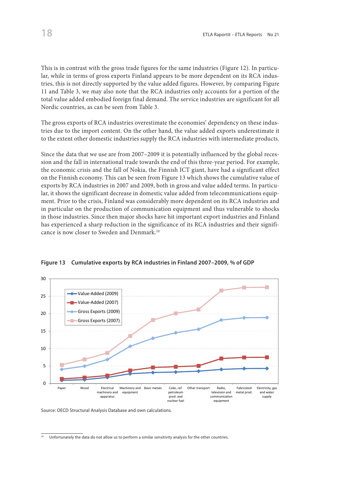This is in contrast with the gross trade figures for the same industries (Figure 12). In particular, while in terms of gross exports Finland appears to be more dependent on its RCA industries, this is not directly supported by the value added figures. However, by comparing Figure 11 and Table 3, we may also note that the RCA industries only accounts for a portion of the total value added embodied foreign final demand. The service industries are significant for all Nordic countries, as can be seen from Table 3.

The gross exports of RCA industries overestimate the economies' dependency on these industries due to the import content. On the other hand, the value added exports underestimate it to the extent other domestic industries supply the RCA industries with intermediate products.

Since the data that we use are from 2007–2009 it is potentially influenced by the global recession and the fall in international trade towards the end of this three-year period. For example, the economic crisis and the fall of Nokia, the Finnish ICT giant, have had a significant effect on the Finnish economy. This can be seen from Figure 13 which shows the cumulative value of exports by RCA industries in 2007 and 2009, both in gross and value added terms. In particular, it shows the significant decrease in domestic value added from telecommunications equipment. Prior to the crisis, Finland was considerably more dependent on its RCA industries and in particular on the production of communication equipment and thus vulnerable to shocks in those industries. Since then major shocks have hit important export industries and Finland has experienced a sharp reduction in the significance of its RCA industries and their significance is now closer to Sweden and Denmark.10



**Figure 13 Cumulative exports by RCA industries in Finland 2007–2009, % of GDP**

Source: OECD Structural Analysis Database and own calculations. Source: OECD Structural Analysis Database and own calculations.

 $\frac{10}{10}$  Unfortunately the data do not allow us to perform a similar sensitivity analysis for the other countries.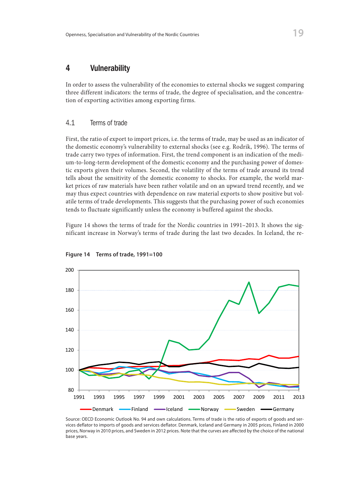# 4 Vulnerability

In order to assess the vulnerability of the economies to external shocks we suggest comparing three different indicators: the terms of trade, the degree of specialisation, and the concentration of exporting activities among exporting firms.

#### 4.1 Terms of trade

First, the ratio of export to import prices, i.e. the terms of trade, may be used as an indicator of the domestic economy's vulnerability to external shocks (see e.g. Rodrik, 1996). The terms of trade carry two types of information. First, the trend component is an indication of the medium-to-long-term development of the domestic economy and the purchasing power of domestic exports given their volumes. Second, the volatility of the terms of trade around its trend tells about the sensitivity of the domestic economy to shocks. For example, the world market prices of raw materials have been rather volatile and on an upward trend recently, and we may thus expect countries with dependence on raw material exports to show positive but volatile terms of trade developments. This suggests that the purchasing power of such economies tends to fluctuate significantly unless the economy is buffered against the shocks.

Figure 14 shows the terms of trade for the Nordic countries in 1991–2013. It shows the significant increase in Norway's terms of trade during the last two decades. In Iceland, the re-



**Figure 14 Terms of trade, 1991=100**

boarce. OLCD LCOHOMIC Outlook NO. 34 and Own Calculations. Terms of trade is the ratio of exports of goods and ser-<br>vices deflator to imports of goods and services deflator. Denmark, Iceland and Germany in 2005 prices, Fin prices, Norway in 2010 prices, and Sweden in 2012 prices. Note that the curves are affected by the choice of the national do prices, Norway in 2010 prices, and Sweden in 2010 prices. Note that the curves are affected by the choice of the choice of the choice of the choice of the choice of the choice of the choice of the choice of the choice o Source: OECD Economic Outlook No. 94 and own calculations. Terms of trade is the ratio of exports of goods and serbase years.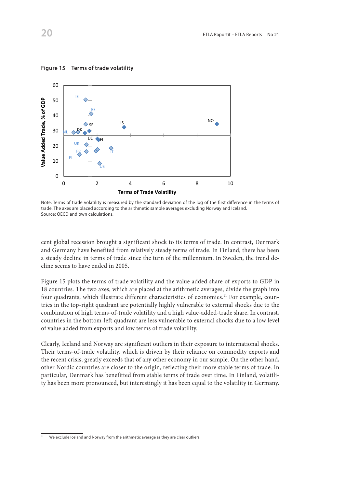

**Figure 15 Terms of trade volatility**

cent global recession brought a significant shock to its terms of trade. In contrast, Denmark end grobal recession brought a significant shock to its terms of trade. In Fontrast, *Definially* and Germany have benefited from relatively steady terms of trade. In Finland, there has been a steady decline in terms of trade since the turn of the millennium. In Sweden, the trend decline seems to have ended in 2005. efficient specifies to have entited in 2005.

Figure 15 plots the terms of trade volatility and the value added share of exports to GDP in 18 countries. The two axes, which are placed at the arithmetic averages, divide the graph into four quadrants, which illustrate different characteristics of economies.<sup>11</sup> For example, countries in the top-right quadrant are potentially highly vulnerable to external shocks due to the combination of high terms-of-trade volatility and a high value-added-trade share. In contrast, countries in the bottom-left quadrant are less vulnerable to external shocks due to a low level of value added from exports and low terms of trade volatility.

Clearly, Iceland and Norway are significant outliers in their exposure to international shocks. Their terms-of-trade volatility, which is driven by their reliance on commodity exports and the recent crisis, greatly exceeds that of any other economy in our sample. On the other hand, other Nordic countries are closer to the origin, reflecting their more stable terms of trade. In particular, Denmark has benefitted from stable terms of trade over time. In Finland, volatility has been more pronounced, but interestingly it has been equal to the volatility in Germany.

trade. The axes are placed according to the arithmetic sample averages excluding Norway and Iceland. Source: OECD and own calculations. Note: Terms of trade volatility is measured by the standard deviation of the log of the first difference in the terms of

We exclude Iceland and Norway from the arithmetic average as they are clear outliers.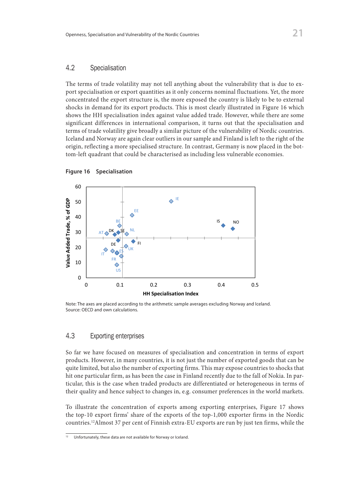#### 4.2 Specialisation

The terms of trade volatility may not tell anything about the vulnerability that is due to export specialisation or export quantities as it only concerns nominal fluctuations. Yet, the more concentrated the export structure is, the more exposed the country is likely to be to external shocks in demand for its export products. This is most clearly illustrated in Figure 16 which shows the HH specialisation index against value added trade. However, while there are some significant differences in international comparison, it turns out that the specialisation and terms of trade volatility give broadly a similar picture of the vulnerability of Nordic countries. Iceland and Norway are again clear outliers in our sample and Finland is left to the right of the origin, reflecting a more specialised structure. In contrast, Germany is now placed in the bottom-left quadrant that could be characterised as including less vulnerable economies.

![](_page_22_Figure_3.jpeg)

![](_page_22_Figure_4.jpeg)

**Source: OECD and own calculations.** The arithmetic sample average of  $\overline{I}$  and Iceland. In the arithmetic sample averages excluding  $\overline{I}$  and Iceland. In the arithmetic sample and Iceland. In the arithmetic sample a Note: The axes are placed according to the arithmetic sample averages excluding Norway and Iceland.

# *4.3 Exporting Enterprises*  4.3 Exporting enterprises

So far we have focused on measures of specialisation and concentration in terms of export products. However, in many countries, it is not just the number of exported goods that can be but also the number of exporting firms. This may expose countries to shocks that hit one particular hit one particular firm, as has been the case in Finland recently due to the fall of Nokia. In parfind the particular, this is the case when traded products are differentiated or heterogeneous in terms of their quality and hence subject to changes in, e.g. consumer preferences in the world markets. quite limited, but also the number of exporting firms. This may expose countries to shocks that

the top-10 export firms' share of the exports of the top-1,000 exporter firms in the Nordic countries.<sup>12</sup>Almost 37 per cent of Finnish extra-EU exports are run by just ten firms, while the To illustrate the concentration of exports among exporting enterprises, Figure 17 shows

<sup>37</sup> per cent of Finnish extra-EU exports are run by just ten firms, while the figure in intra-EU <sup>12</sup> Unfortunately, these data are not available for Norway or Iceland.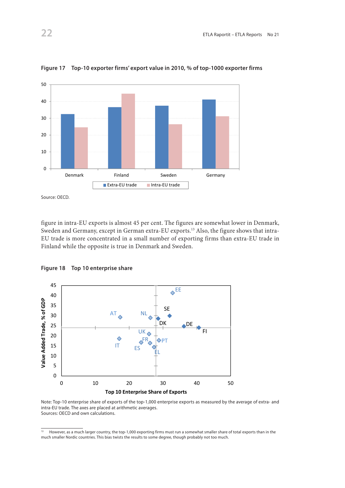![](_page_23_Figure_1.jpeg)

**Figure 17 Top-10 exporter firms' export value in 2010, % of top-1000 exporter firms**

Source: OECD. Source: OECD.

figure in intra-EU exports is almost 45 per cent. The figures are somewhat lower in Denmark, Sweden and Germany, except in German extra-EU exports.<sup>13</sup> Also, the figure shows that intra-EU trade is more concentrated in a small number of exporting firms than extra-EU trade in<br>Einland while the ennesite is two in Denmark and Sysolon Finland while the opposite is true in Denmark and Sweden.

![](_page_23_Figure_5.jpeg)

40 **Figure 18 Top 10 enterprise share**

intra-EU trade. The axes are placed at arithmetic averages. The actrice of extra- and and the axes are placed at arithmetic averages. Sources: OECD and own calculations. Note: Top-10 enterprise share of exports of the top-1,000 enterprise exports as measured by the average of extra- and

<sup>&</sup>lt;sup>13</sup> However, as a much larger country, the top-1,000 exporting firms must run a somewhat smaller share of total exports than in the much smaller Nordic countries. This bias twists the results to some degree, though probably not too much.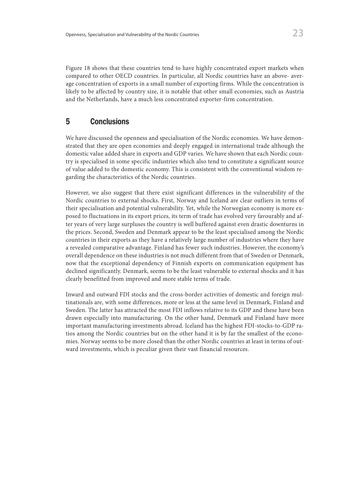Figure 18 shows that these countries tend to have highly concentrated export markets when compared to other OECD countries. In particular, all Nordic countries have an above- average concentration of exports in a small number of exporting firms. While the concentration is likely to be affected by country size, it is notable that other small economies, such as Austria and the Netherlands, have a much less concentrated exporter-firm concentration.

# 5 Conclusions

We have discussed the openness and specialisation of the Nordic economies. We have demonstrated that they are open economies and deeply engaged in international trade although the domestic value added share in exports and GDP varies. We have shown that each Nordic country is specialised in some specific industries which also tend to constitute a significant source of value added to the domestic economy. This is consistent with the conventional wisdom regarding the characteristics of the Nordic countries.

However, we also suggest that there exist significant differences in the vulnerability of the Nordic countries to external shocks. First, Norway and Iceland are clear outliers in terms of their specialisation and potential vulnerability. Yet, while the Norwegian economy is more exposed to fluctuations in its export prices, its term of trade has evolved very favourably and after years of very large surpluses the country is well buffered against even drastic downturns in the prices. Second, Sweden and Denmark appear to be the least specialised among the Nordic countries in their exports as they have a relatively large number of industries where they have a revealed comparative advantage. Finland has fewer such industries. However, the economy's overall dependence on these industries is not much different from that of Sweden or Denmark, now that the exceptional dependency of Finnish exports on communication equipment has declined significantly. Denmark, seems to be the least vulnerable to external shocks and it has clearly benefitted from improved and more stable terms of trade.

Inward and outward FDI stocks and the cross-border activities of domestic and foreign multinationals are, with some differences, more or less at the same level in Denmark, Finland and Sweden. The latter has attracted the most FDI inflows relative to its GDP and these have been drawn especially into manufacturing. On the other hand, Denmark and Finland have more important manufacturing investments abroad. Iceland has the highest FDI-stocks-to-GDP ratios among the Nordic countries but on the other hand it is by far the smallest of the economies. Norway seems to be more closed than the other Nordic countries at least in terms of outward investments, which is peculiar given their vast financial resources.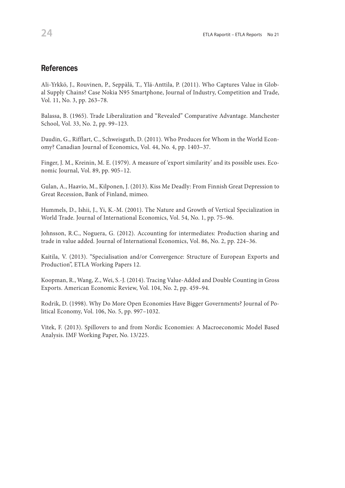## **References**

Ali-Yrkkö, J., Rouvinen, P., Seppälä, T., Ylä-Anttila, P. (2011). Who Captures Value in Global Supply Chains? Case Nokia N95 Smartphone, Journal of Industry, Competition and Trade, Vol. 11, No. 3, pp. 263–78.

Balassa, B. (1965). Trade Liberalization and "Revealed" Comparative Advantage. Manchester School, Vol. 33, No. 2, pp. 99–123.

Daudin, G., Rifflart, C., Schweisguth, D. (2011). Who Produces for Whom in the World Economy? Canadian Journal of Economics, Vol. 44, No. 4, pp. 1403–37.

Finger, J. M., Kreinin, M. E. (1979). A measure of 'export similarity' and its possible uses. Economic Journal, Vol. 89, pp. 905–12.

Gulan, A., Haavio, M., Kilponen, J. (2013). Kiss Me Deadly: From Finnish Great Depression to Great Recession, Bank of Finland, mimeo.

Hummels, D., Ishii, J., Yi, K.-M. (2001). The Nature and Growth of Vertical Specialization in World Trade. Journal of International Economics, Vol. 54, No. 1, pp. 75–96.

Johnsson, R.C., Noguera, G. (2012). Accounting for intermediates: Production sharing and trade in value added. Journal of International Economics, Vol. 86, No. 2, pp. 224–36.

Kaitila, V. (2013). "Specialisation and/or Convergence: Structure of European Exports and Production", ETLA Working Papers 12.

Koopman, R., Wang, Z., Wei, S.-J. (2014). Tracing Value-Added and Double Counting in Gross Exports. American Economic Review, Vol. 104, No. 2, pp. 459–94.

Rodrik, D. (1998). Why Do More Open Economies Have Bigger Governments? Journal of Political Economy, Vol. 106, No. 5, pp. 997–1032.

Vitek, F. (2013). Spillovers to and from Nordic Economies: A Macroeconomic Model Based Analysis. IMF Working Paper, No. 13/225.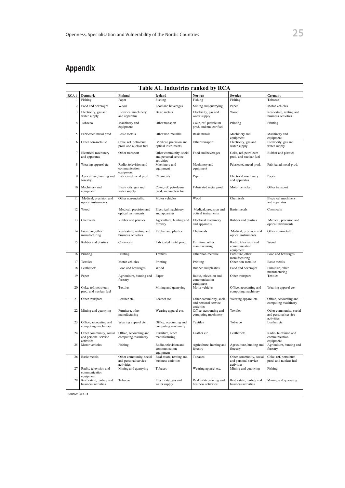# Appendix

| Table A1. Industries ranked by RCA |                                                              |                                                 |                                                     |                                                             |                                                     |                                                   |  |  |  |
|------------------------------------|--------------------------------------------------------------|-------------------------------------------------|-----------------------------------------------------|-------------------------------------------------------------|-----------------------------------------------------|---------------------------------------------------|--|--|--|
| RCA#                               | Denmark                                                      | Finland                                         | Iceland                                             | <b>Norway</b>                                               | Sweden                                              | Germany                                           |  |  |  |
| 1                                  | Fishing                                                      | Paper                                           | Fishing                                             | Fishing                                                     | Fishing                                             | Tobacco                                           |  |  |  |
| $\overline{c}$                     | Food and beverages                                           | Wood                                            | Food and beverages                                  | Mining and quarrying                                        | Paper                                               | Motor vehicles                                    |  |  |  |
| 3                                  | Electricity, gas and<br>water supply                         | Electrical machinery<br>and apparatus           | Basic metals                                        | Electricity, gas and<br>water supply                        | Wood                                                | Real estate, renting and<br>business activities   |  |  |  |
| $\overline{4}$                     | Tobacco                                                      | Machinery and<br>equipment                      | Other transport                                     | Coke, ref. petroleum<br>prod. and nuclear fuel              | Printing                                            | Printing                                          |  |  |  |
| 5                                  | Fabricated metal prod.                                       | <b>Basic</b> metals                             | Other non-metallic                                  | <b>Basic</b> metals                                         | Machinery and<br>equipment                          | Machinery and<br>equipment                        |  |  |  |
| 6                                  | Other non-metallic                                           | Coke, ref. petroleum<br>prod. and nuclear fuel  | Medical, precision and<br>optical instruments       | Other transport                                             | Electricity, gas and<br>water supply                | Electricity, gas and<br>water supply              |  |  |  |
| $\tau$                             | Electrical machinery<br>and apparatus                        | Other transport                                 | Other community, social<br>and personal service     | Food and beverages                                          | Coke, ref. petroleum<br>prod. and nuclear fuel      | Rubber and plastics                               |  |  |  |
| 8                                  | Wearing apparel etc.                                         | Radio, television and<br>communication          | activities<br>Machinery and<br>equipment            | Machinery and<br>equipment                                  | Fabricated metal prod.                              | Fabricated metal prod.                            |  |  |  |
| 9                                  | Agriculture, hunting and<br>forestry                         | equipment<br>Fabricated metal prod.             | Chemicals                                           | Paper                                                       | Electrical machinery<br>and apparatus               | Paper                                             |  |  |  |
| 10                                 | Machinery and<br>equipment                                   | Electricity, gas and<br>water supply            | Coke, ref. petroleum<br>prod. and nuclear fuel      | Fabricated metal prod.                                      | Motor vehicles                                      | Other transport                                   |  |  |  |
| 11                                 | Medical, precision and<br>optical instruments                | Other non-metallic                              | Motor vehicles                                      | Wood                                                        | Chemicals                                           | Electrical machinery<br>and apparatus             |  |  |  |
| 12                                 | Wood                                                         | Medical, precision and<br>optical instruments   | Electrical machinery<br>and apparatus               | Medical, precision and<br>optical instruments               | Basic metals                                        | Chemicals                                         |  |  |  |
| 13                                 | Chemicals                                                    | Rubber and plastics                             | Agriculture, hunting and<br>forestry                | Electrical machinery<br>and apparatus                       | Rubber and plastics                                 | Medical, precision and<br>optical instruments     |  |  |  |
| 14                                 | Furniture, other<br>manufacturing                            | Real estate, renting and<br>business activities | Rubber and plastics                                 | Chemicals                                                   | Medical, precision and<br>optical instruments       | Other non-metallic                                |  |  |  |
| 15                                 | Rubber and plastics                                          | Chemicals                                       | Fabricated metal prod.                              | Furniture, other<br>manufacturing                           | Radio, television and<br>communication<br>equipment | Wood                                              |  |  |  |
| 16                                 | Printing                                                     | Printing                                        | Textiles                                            | Other non-metallic                                          | Furniture, other<br>manufacturing                   | Food and beverages                                |  |  |  |
| 17                                 | Textiles                                                     | Motor vehicles                                  | Printing                                            | Printing                                                    | Other non-metallic                                  | Basic metals                                      |  |  |  |
| 18                                 | Leather etc.                                                 | Food and beverages                              | Wood                                                | Rubber and plastics                                         | Food and beverages                                  | Furniture, other<br>manufacturing                 |  |  |  |
| 19                                 | Paper                                                        | Agriculture, hunting and<br>forestry            | Paper                                               | Radio, television and<br>communication                      | Other transport                                     | Textiles                                          |  |  |  |
| 20                                 | Coke, ref. petroleum<br>prod. and nuclear fuel               | <b>Textiles</b>                                 | Mining and quarrying                                | equipment<br>Motor vehicles                                 | Office, accounting and<br>computing machinery       | Wearing apparel etc.                              |  |  |  |
| 21                                 | Other transport                                              | Leather etc.                                    | Leather etc.                                        | Other community, social<br>and personal service             | Wearing apparel etc.                                | Office, accounting and<br>computing machinery     |  |  |  |
| 22                                 | Mining and quarrying                                         | Furniture, other<br>manufacturing               | Wearing apparel etc.                                | activities<br>Office, accounting and<br>computing machinery | Textiles                                            | Other community, social<br>and personal service   |  |  |  |
| 23                                 | Office, accounting and<br>computing machinery                | Wearing apparel etc.                            | Office, accounting and<br>computing machinery       | <b>Textiles</b>                                             | Tobacco                                             | activities<br>Leather etc.                        |  |  |  |
| 24                                 | Other community, social<br>and personal service              | Office, accounting and<br>computing machinery   | Furniture, other<br>manufacturing                   | Leather etc.                                                | Leather etc.                                        | Radio, television and<br>communication            |  |  |  |
| 25                                 | activities<br>Motor vehicles                                 | Fishing                                         | Radio, television and<br>communication<br>equipment | Agriculture, hunting and<br>forestry                        | Agriculture, hunting and<br>forestry                | equipment<br>Agriculture, hunting and<br>forestry |  |  |  |
| 26                                 | Basic metals                                                 | Other community, social<br>and personal service | Real estate, renting and<br>business activities     | Tobacco                                                     | Other community, social<br>and personal service     | Coke, ref. petroleum<br>prod. and nuclear fuel    |  |  |  |
| 27                                 | Radio, television and<br>communication                       | activities<br>Mining and quarrying              | Tobacco                                             | Wearing apparel etc.                                        | activities<br>Mining and quarrying                  | Fishing                                           |  |  |  |
| 28                                 | equipment<br>Real estate, renting and<br>business activities | Tobacco                                         | Electricity, gas and<br>water supply                | Real estate, renting and<br>business activities             | Real estate, renting and<br>business activities     | Mining and quarrying                              |  |  |  |
| Source: OECD                       |                                                              |                                                 |                                                     |                                                             |                                                     |                                                   |  |  |  |